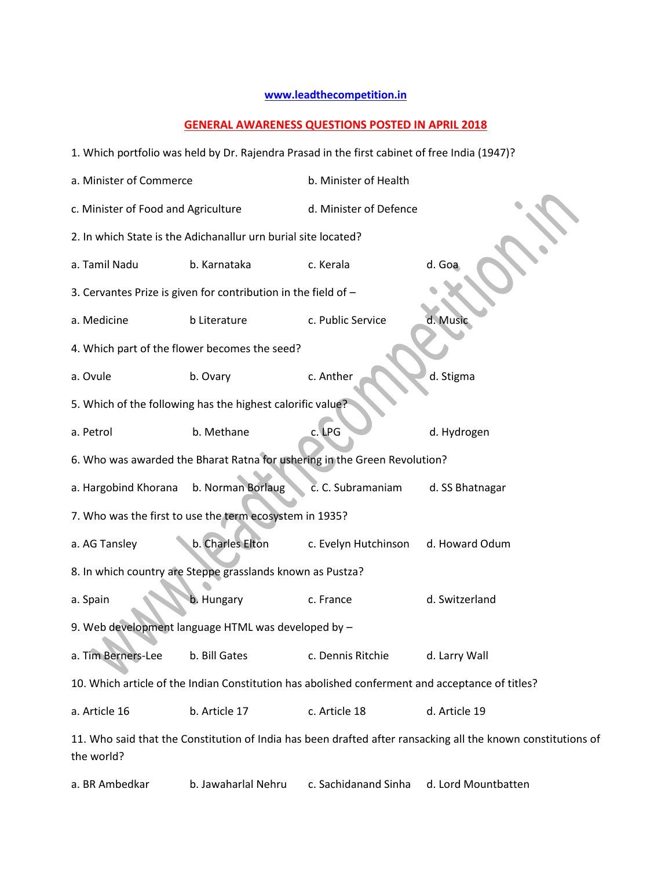## **[www.leadthecompetition.in](http://www.leadthecompetition.in/)**

## **GENERAL AWARENESS QUESTIONS POSTED IN APRIL 2018**

| 1. Which portfolio was held by Dr. Rajendra Prasad in the first cabinet of free India (1947)?   |                                                                |                                                                           |                                                                                                              |  |  |
|-------------------------------------------------------------------------------------------------|----------------------------------------------------------------|---------------------------------------------------------------------------|--------------------------------------------------------------------------------------------------------------|--|--|
| a. Minister of Commerce                                                                         |                                                                | b. Minister of Health                                                     |                                                                                                              |  |  |
| c. Minister of Food and Agriculture                                                             |                                                                | d. Minister of Defence                                                    |                                                                                                              |  |  |
|                                                                                                 | 2. In which State is the Adichanallur urn burial site located? |                                                                           |                                                                                                              |  |  |
| a. Tamil Nadu                                                                                   | b. Karnataka                                                   | c. Kerala                                                                 | d. Goa                                                                                                       |  |  |
|                                                                                                 | 3. Cervantes Prize is given for contribution in the field of - |                                                                           |                                                                                                              |  |  |
| a. Medicine                                                                                     | b Literature                                                   | c. Public Service                                                         | d. Music                                                                                                     |  |  |
|                                                                                                 | 4. Which part of the flower becomes the seed?                  |                                                                           |                                                                                                              |  |  |
| a. Ovule                                                                                        | b. Ovary                                                       | c. Anther                                                                 | d. Stigma                                                                                                    |  |  |
|                                                                                                 | 5. Which of the following has the highest calorific value?     |                                                                           |                                                                                                              |  |  |
| a. Petrol                                                                                       | b. Methane                                                     | c.LPG                                                                     | d. Hydrogen                                                                                                  |  |  |
|                                                                                                 |                                                                | 6. Who was awarded the Bharat Ratna for ushering in the Green Revolution? |                                                                                                              |  |  |
| a. Hargobind Khorana                                                                            | b. Norman Borlaug                                              | c. C. Subramaniam                                                         | d. SS Bhatnagar                                                                                              |  |  |
|                                                                                                 | 7. Who was the first to use the term ecosystem in 1935?        |                                                                           |                                                                                                              |  |  |
| a. AG Tansley                                                                                   | b. Charles Elton                                               | c. Evelyn Hutchinson                                                      | d. Howard Odum                                                                                               |  |  |
|                                                                                                 | 8. In which country are Steppe grasslands known as Pustza?     |                                                                           |                                                                                                              |  |  |
| a. Spain                                                                                        | b. Hungary                                                     | c. France                                                                 | d. Switzerland                                                                                               |  |  |
|                                                                                                 | 9. Web development language HTML was developed by -            |                                                                           |                                                                                                              |  |  |
| a. Tim Berners-Lee                                                                              | b. Bill Gates                                                  | c. Dennis Ritchie                                                         | d. Larry Wall                                                                                                |  |  |
| 10. Which article of the Indian Constitution has abolished conferment and acceptance of titles? |                                                                |                                                                           |                                                                                                              |  |  |
| a. Article 16                                                                                   | b. Article 17                                                  | c. Article 18                                                             | d. Article 19                                                                                                |  |  |
| the world?                                                                                      |                                                                |                                                                           | 11. Who said that the Constitution of India has been drafted after ransacking all the known constitutions of |  |  |
| a. BR Ambedkar                                                                                  | b. Jawaharlal Nehru                                            | c. Sachidanand Sinha                                                      | d. Lord Mountbatten                                                                                          |  |  |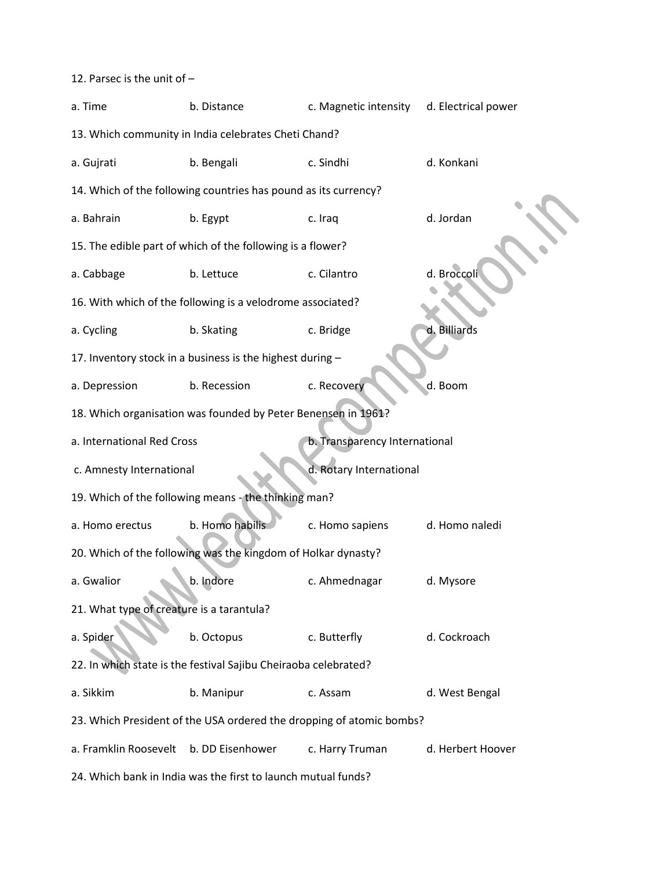12. Parsec is the unit of –

| a. Time                                                              | b. Distance                                                     | c. Magnetic intensity         | d. Electrical power |  |  |
|----------------------------------------------------------------------|-----------------------------------------------------------------|-------------------------------|---------------------|--|--|
| 13. Which community in India celebrates Cheti Chand?                 |                                                                 |                               |                     |  |  |
| a. Gujrati                                                           | b. Bengali                                                      | c. Sindhi                     | d. Konkani          |  |  |
|                                                                      | 14. Which of the following countries has pound as its currency? |                               |                     |  |  |
| a. Bahrain                                                           | b. Egypt                                                        | c. Iraq                       | d. Jordan           |  |  |
|                                                                      | 15. The edible part of which of the following is a flower?      |                               |                     |  |  |
| a. Cabbage                                                           | b. Lettuce                                                      | c. Cilantro                   | d. Broccoli         |  |  |
|                                                                      | 16. With which of the following is a velodrome associated?      |                               |                     |  |  |
| a. Cycling                                                           | b. Skating                                                      | c. Bridge                     | d. Billiards        |  |  |
|                                                                      | 17. Inventory stock in a business is the highest during -       |                               |                     |  |  |
| a. Depression                                                        | b. Recession                                                    | c. Recovery                   | d. Boom             |  |  |
|                                                                      | 18. Which organisation was founded by Peter Benensen in 1961?   |                               |                     |  |  |
| a. International Red Cross                                           |                                                                 | b. Transparency International |                     |  |  |
| c. Amnesty International                                             |                                                                 | d. Rotary International       |                     |  |  |
|                                                                      | 19. Which of the following means - the thinking man?            |                               |                     |  |  |
| a. Homo erectus                                                      | b. Homo habilis                                                 | c. Homo sapiens               | d. Homo naledi      |  |  |
|                                                                      | 20. Which of the following was the kingdom of Holkar dynasty?   |                               |                     |  |  |
| a. Gwalior                                                           | b. Indore                                                       | c. Ahmednagar                 | d. Mysore           |  |  |
| 21. What type of creature is a tarantula?                            |                                                                 |                               |                     |  |  |
| a. Spider                                                            | b. Octopus                                                      | c. Butterfly                  | d. Cockroach        |  |  |
| 22. In which state is the festival Sajibu Cheiraoba celebrated?      |                                                                 |                               |                     |  |  |
| a. Sikkim                                                            | b. Manipur                                                      | c. Assam                      | d. West Bengal      |  |  |
| 23. Which President of the USA ordered the dropping of atomic bombs? |                                                                 |                               |                     |  |  |
| a. Framklin Roosevelt                                                | b. DD Eisenhower                                                | c. Harry Truman               | d. Herbert Hoover   |  |  |
| 24. Which bank in India was the first to launch mutual funds?        |                                                                 |                               |                     |  |  |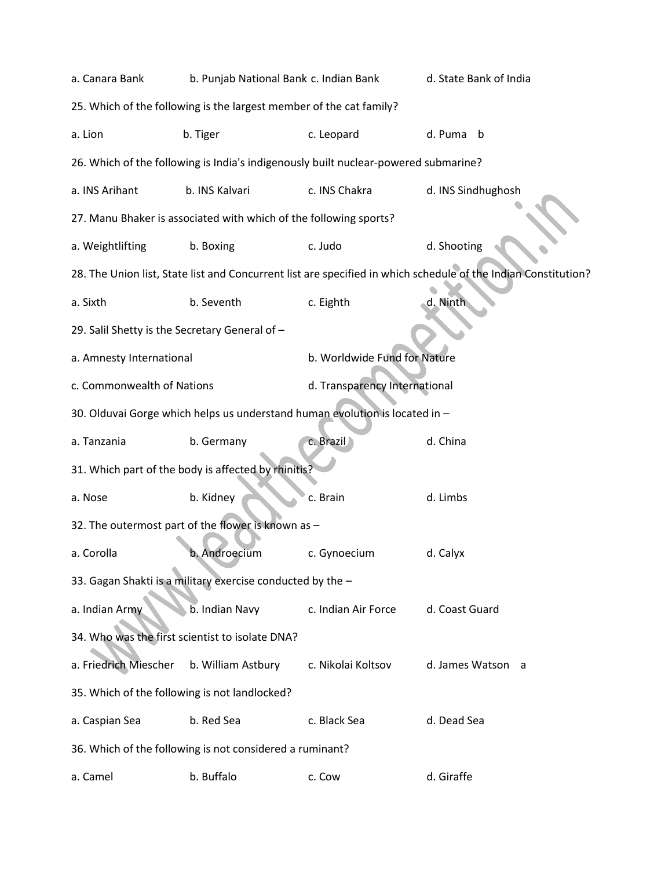| a. Canara Bank                                                      | b. Punjab National Bank c. Indian Bank                            |                                                                                     | d. State Bank of India                                                                                         |  |  |
|---------------------------------------------------------------------|-------------------------------------------------------------------|-------------------------------------------------------------------------------------|----------------------------------------------------------------------------------------------------------------|--|--|
| 25. Which of the following is the largest member of the cat family? |                                                                   |                                                                                     |                                                                                                                |  |  |
| a. Lion                                                             | b. Tiger                                                          | c. Leopard                                                                          | d. Puma b                                                                                                      |  |  |
|                                                                     |                                                                   | 26. Which of the following is India's indigenously built nuclear-powered submarine? |                                                                                                                |  |  |
| a. INS Arihant                                                      | b. INS Kalvari                                                    | c. INS Chakra                                                                       | d. INS Sindhughosh                                                                                             |  |  |
|                                                                     | 27. Manu Bhaker is associated with which of the following sports? |                                                                                     |                                                                                                                |  |  |
| a. Weightlifting                                                    | b. Boxing                                                         | c. Judo                                                                             | d. Shooting                                                                                                    |  |  |
|                                                                     |                                                                   |                                                                                     | 28. The Union list, State list and Concurrent list are specified in which schedule of the Indian Constitution? |  |  |
| a. Sixth                                                            | b. Seventh                                                        | c. Eighth                                                                           | d. Ninth                                                                                                       |  |  |
| 29. Salil Shetty is the Secretary General of -                      |                                                                   |                                                                                     |                                                                                                                |  |  |
| a. Amnesty International                                            |                                                                   | b. Worldwide Fund for Nature                                                        |                                                                                                                |  |  |
| c. Commonwealth of Nations                                          |                                                                   |                                                                                     | d. Transparency International                                                                                  |  |  |
|                                                                     |                                                                   | 30. Olduvai Gorge which helps us understand human evolution is located in -         |                                                                                                                |  |  |
| a. Tanzania                                                         | b. Germany                                                        | c. Brazil                                                                           | d. China                                                                                                       |  |  |
|                                                                     | 31. Which part of the body is affected by rhinitis?               |                                                                                     |                                                                                                                |  |  |
| a. Nose                                                             | b. Kidney                                                         | c. Brain                                                                            | d. Limbs                                                                                                       |  |  |
|                                                                     | 32. The outermost part of the flower is known as -                |                                                                                     |                                                                                                                |  |  |
| a. Corolla                                                          | b. Androecium                                                     | c. Gynoecium                                                                        | d. Calyx                                                                                                       |  |  |
|                                                                     | 33. Gagan Shakti is a military exercise conducted by the -        |                                                                                     |                                                                                                                |  |  |
| a. Indian Army                                                      | b. Indian Navy                                                    | c. Indian Air Force                                                                 | d. Coast Guard                                                                                                 |  |  |
| 34. Who was the first scientist to isolate DNA?                     |                                                                   |                                                                                     |                                                                                                                |  |  |
| a. Friedrich Miescher                                               | b. William Astbury                                                | c. Nikolai Koltsov                                                                  | d. James Watson a                                                                                              |  |  |
| 35. Which of the following is not landlocked?                       |                                                                   |                                                                                     |                                                                                                                |  |  |
| a. Caspian Sea                                                      | b. Red Sea                                                        | c. Black Sea                                                                        | d. Dead Sea                                                                                                    |  |  |
|                                                                     | 36. Which of the following is not considered a ruminant?          |                                                                                     |                                                                                                                |  |  |
| a. Camel                                                            | b. Buffalo                                                        | c. Cow                                                                              | d. Giraffe                                                                                                     |  |  |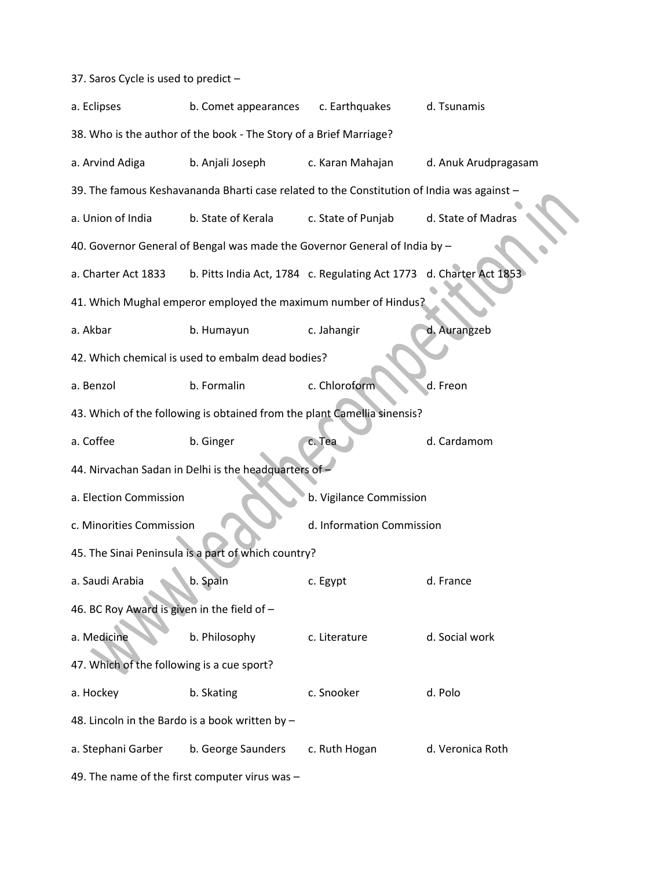37. Saros Cycle is used to predict –

| a. Eclipses                                       | b. Comet appearances                                                                       | c. Earthquakes                                                      | d. Tsunamis          |  |  |  |
|---------------------------------------------------|--------------------------------------------------------------------------------------------|---------------------------------------------------------------------|----------------------|--|--|--|
|                                                   | 38. Who is the author of the book - The Story of a Brief Marriage?                         |                                                                     |                      |  |  |  |
| a. Arvind Adiga                                   | b. Anjali Joseph                                                                           | c. Karan Mahajan                                                    | d. Anuk Arudpragasam |  |  |  |
|                                                   | 39. The famous Keshavananda Bharti case related to the Constitution of India was against - |                                                                     |                      |  |  |  |
| a. Union of India                                 | b. State of Kerala                                                                         | c. State of Punjab                                                  | d. State of Madras   |  |  |  |
|                                                   | 40. Governor General of Bengal was made the Governor General of India by -                 |                                                                     |                      |  |  |  |
| a. Charter Act 1833                               |                                                                                            | b. Pitts India Act, 1784 c. Regulating Act 1773 d. Charter Act 1853 |                      |  |  |  |
|                                                   | 41. Which Mughal emperor employed the maximum number of Hindus?                            |                                                                     |                      |  |  |  |
| a. Akbar                                          | b. Humayun                                                                                 | c. Jahangir                                                         | d. Aurangzeb         |  |  |  |
|                                                   | 42. Which chemical is used to embalm dead bodies?                                          |                                                                     |                      |  |  |  |
| a. Benzol                                         | b. Formalin                                                                                | c. Chloroform                                                       | d. Freon             |  |  |  |
|                                                   | 43. Which of the following is obtained from the plant Camellia sinensis?                   |                                                                     |                      |  |  |  |
| a. Coffee                                         | b. Ginger                                                                                  | c. Tea                                                              | d. Cardamom          |  |  |  |
|                                                   | 44. Nirvachan Sadan in Delhi is the headquarters of -                                      |                                                                     |                      |  |  |  |
| a. Election Commission<br>b. Vigilance Commission |                                                                                            |                                                                     |                      |  |  |  |
| c. Minorities Commission                          |                                                                                            | d. Information Commission                                           |                      |  |  |  |
|                                                   | 45. The Sinai Peninsula is a part of which country?                                        |                                                                     |                      |  |  |  |
| a. Saudi Arabia                                   | b. Spain                                                                                   | c. Egypt                                                            | d. France            |  |  |  |
| 46. BC Roy Award is given in the field of -       |                                                                                            |                                                                     |                      |  |  |  |
| a. Medicine                                       | b. Philosophy                                                                              | c. Literature                                                       | d. Social work       |  |  |  |
| 47. Which of the following is a cue sport?        |                                                                                            |                                                                     |                      |  |  |  |
| a. Hockey                                         | b. Skating                                                                                 | c. Snooker                                                          | d. Polo              |  |  |  |
| 48. Lincoln in the Bardo is a book written by -   |                                                                                            |                                                                     |                      |  |  |  |
| a. Stephani Garber                                | b. George Saunders                                                                         | c. Ruth Hogan                                                       | d. Veronica Roth     |  |  |  |
|                                                   | 49. The name of the first computer virus was -                                             |                                                                     |                      |  |  |  |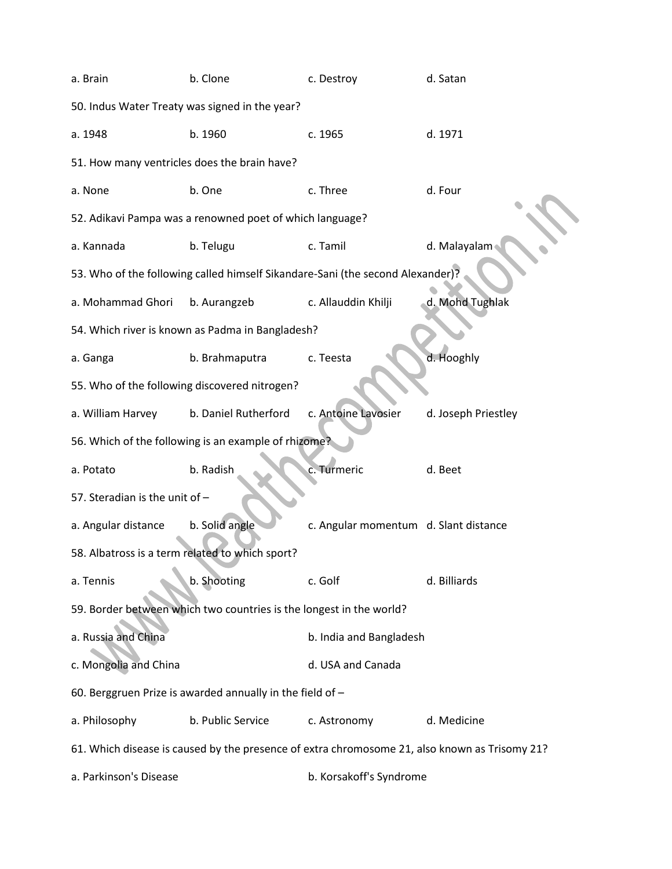| a. Brain                                                                                      | b. Clone                                                                       | c. Destroy                            | d. Satan            |  |
|-----------------------------------------------------------------------------------------------|--------------------------------------------------------------------------------|---------------------------------------|---------------------|--|
|                                                                                               | 50. Indus Water Treaty was signed in the year?                                 |                                       |                     |  |
| a. 1948                                                                                       | b. 1960                                                                        | c. 1965                               | d. 1971             |  |
| 51. How many ventricles does the brain have?                                                  |                                                                                |                                       |                     |  |
| a. None                                                                                       | b. One                                                                         | c. Three                              | d. Four             |  |
|                                                                                               | 52. Adikavi Pampa was a renowned poet of which language?                       |                                       |                     |  |
| a. Kannada                                                                                    | b. Telugu                                                                      | c. Tamil                              | d. Malayalam        |  |
|                                                                                               | 53. Who of the following called himself Sikandare-Sani (the second Alexander)? |                                       |                     |  |
| a. Mohammad Ghori                                                                             | b. Aurangzeb                                                                   | c. Allauddin Khilji                   | d. Mohd Tughlak     |  |
|                                                                                               | 54. Which river is known as Padma in Bangladesh?                               |                                       |                     |  |
| a. Ganga                                                                                      | b. Brahmaputra                                                                 | c. Teesta                             | d. Hooghly          |  |
|                                                                                               | 55. Who of the following discovered nitrogen?                                  |                                       |                     |  |
| a. William Harvey                                                                             | b. Daniel Rutherford                                                           | c. Antoine Lavosier                   | d. Joseph Priestley |  |
|                                                                                               | 56. Which of the following is an example of rhizome?                           |                                       |                     |  |
| a. Potato                                                                                     | b. Radish                                                                      | c. Turmeric                           | d. Beet             |  |
| 57. Steradian is the unit of -                                                                |                                                                                |                                       |                     |  |
| a. Angular distance                                                                           | b. Solid angle                                                                 | c. Angular momentum d. Slant distance |                     |  |
| 58. Albatross is a term related to which sport?                                               |                                                                                |                                       |                     |  |
| a. Tennis                                                                                     | b. Shooting                                                                    | c. Golf                               | d. Billiards        |  |
|                                                                                               | 59. Border between which two countries is the longest in the world?            |                                       |                     |  |
| a. Russia and China                                                                           |                                                                                | b. India and Bangladesh               |                     |  |
| c. Mongolia and China                                                                         |                                                                                | d. USA and Canada                     |                     |  |
|                                                                                               | 60. Berggruen Prize is awarded annually in the field of -                      |                                       |                     |  |
| a. Philosophy                                                                                 | b. Public Service                                                              | c. Astronomy                          | d. Medicine         |  |
| 61. Which disease is caused by the presence of extra chromosome 21, also known as Trisomy 21? |                                                                                |                                       |                     |  |
| a. Parkinson's Disease                                                                        |                                                                                | b. Korsakoff's Syndrome               |                     |  |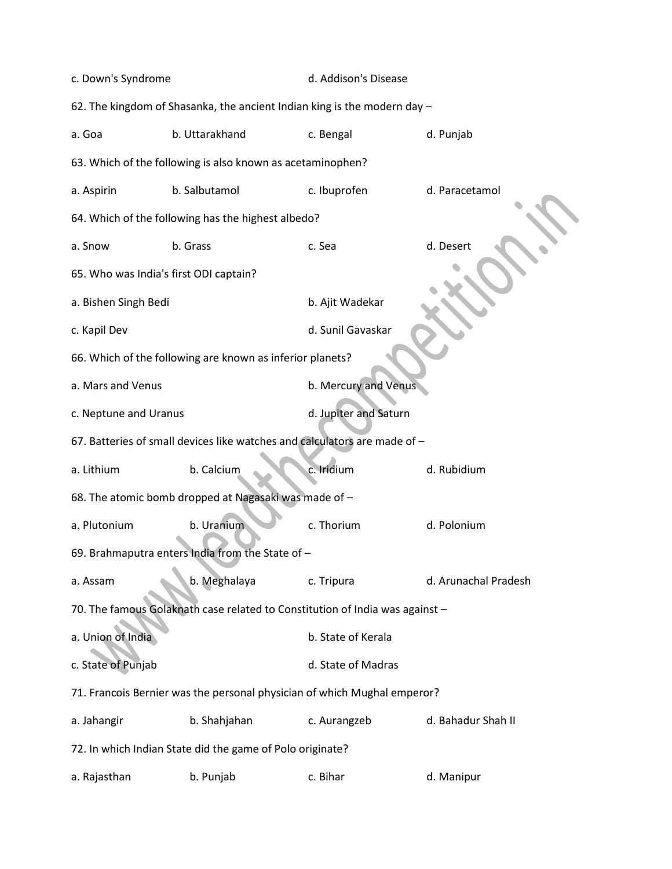| c. Down's Syndrome                                                        |                                                                              | d. Addison's Disease  |                      |  |
|---------------------------------------------------------------------------|------------------------------------------------------------------------------|-----------------------|----------------------|--|
|                                                                           | 62. The kingdom of Shasanka, the ancient Indian king is the modern day -     |                       |                      |  |
| a. Goa                                                                    | b. Uttarakhand                                                               | c. Bengal             | d. Punjab            |  |
|                                                                           | 63. Which of the following is also known as acetaminophen?                   |                       |                      |  |
| a. Aspirin                                                                | b. Salbutamol                                                                | c. Ibuprofen          | d. Paracetamol       |  |
|                                                                           | 64. Which of the following has the highest albedo?                           |                       |                      |  |
| a. Snow                                                                   | b. Grass                                                                     | c. Sea                | d. Desert            |  |
| 65. Who was India's first ODI captain?                                    |                                                                              |                       |                      |  |
| a. Bishen Singh Bedi                                                      |                                                                              | b. Ajit Wadekar       |                      |  |
| c. Kapil Dev                                                              |                                                                              | d. Sunil Gavaskar     |                      |  |
|                                                                           | 66. Which of the following are known as inferior planets?                    |                       |                      |  |
| a. Mars and Venus                                                         |                                                                              | b. Mercury and Venus  |                      |  |
| c. Neptune and Uranus                                                     |                                                                              | d. Jupiter and Saturn |                      |  |
| 67. Batteries of small devices like watches and calculators are made of - |                                                                              |                       |                      |  |
| a. Lithium                                                                | b. Calcium                                                                   | c. Iridium            | d. Rubidium          |  |
|                                                                           | 68. The atomic bomb dropped at Nagasaki was made of -                        |                       |                      |  |
| a. Plutonium                                                              | b. Uranium                                                                   | c. Thorium            | d. Polonium          |  |
|                                                                           | 69. Brahmaputra enters India from the State of -                             |                       |                      |  |
| a. Assam                                                                  | b. Meghalaya                                                                 | c. Tripura            | d. Arunachal Pradesh |  |
|                                                                           | 70. The famous Golaknath case related to Constitution of India was against - |                       |                      |  |
| a. Union of India                                                         |                                                                              | b. State of Kerala    |                      |  |
| c. State of Punjab                                                        |                                                                              | d. State of Madras    |                      |  |
|                                                                           | 71. Francois Bernier was the personal physician of which Mughal emperor?     |                       |                      |  |
| a. Jahangir                                                               | b. Shahjahan                                                                 | c. Aurangzeb          | d. Bahadur Shah II   |  |
|                                                                           | 72. In which Indian State did the game of Polo originate?                    |                       |                      |  |
| a. Rajasthan                                                              | b. Punjab                                                                    | c. Bihar              | d. Manipur           |  |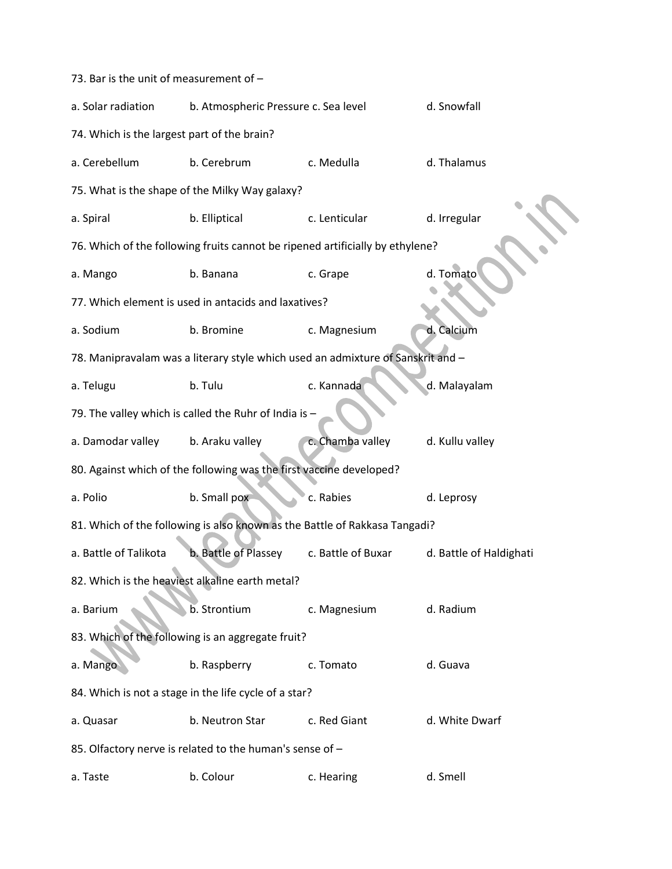| 73. Bar is the unit of measurement of -                  |                                                                                 |                    |                         |  |  |
|----------------------------------------------------------|---------------------------------------------------------------------------------|--------------------|-------------------------|--|--|
| a. Solar radiation                                       | b. Atmospheric Pressure c. Sea level                                            |                    | d. Snowfall             |  |  |
| 74. Which is the largest part of the brain?              |                                                                                 |                    |                         |  |  |
| a. Cerebellum                                            | b. Cerebrum                                                                     | c. Medulla         | d. Thalamus             |  |  |
|                                                          | 75. What is the shape of the Milky Way galaxy?                                  |                    |                         |  |  |
| a. Spiral                                                | b. Elliptical                                                                   | c. Lenticular      | d. Irregular            |  |  |
|                                                          | 76. Which of the following fruits cannot be ripened artificially by ethylene?   |                    |                         |  |  |
| a. Mango                                                 | b. Banana                                                                       | c. Grape           | d. Tomato               |  |  |
|                                                          | 77. Which element is used in antacids and laxatives?                            |                    |                         |  |  |
| a. Sodium                                                | b. Bromine                                                                      | c. Magnesium       | d. Calcium              |  |  |
|                                                          | 78. Manipravalam was a literary style which used an admixture of Sanskrit and - |                    |                         |  |  |
| a. Telugu                                                | b. Tulu                                                                         | c. Kannada         | d. Malayalam            |  |  |
|                                                          | 79. The valley which is called the Ruhr of India is -                           |                    |                         |  |  |
| a. Damodar valley                                        | b. Araku valley                                                                 | c. Chamba valley   | d. Kullu valley         |  |  |
|                                                          | 80. Against which of the following was the first vaccine developed?             |                    |                         |  |  |
| a. Polio                                                 | b. Small pox                                                                    | c. Rabies          | d. Leprosy              |  |  |
|                                                          | 81. Which of the following is also known as the Battle of Rakkasa Tangadi?      |                    |                         |  |  |
| a. Battle of Talikota                                    | b. Battle of Plassey                                                            | c. Battle of Buxar | d. Battle of Haldighati |  |  |
|                                                          | 82. Which is the heaviest alkaline earth metal?                                 |                    |                         |  |  |
| a. Barium                                                | b. Strontium                                                                    | c. Magnesium       | d. Radium               |  |  |
| 83. Which of the following is an aggregate fruit?        |                                                                                 |                    |                         |  |  |
| a. Mango                                                 | b. Raspberry                                                                    | c. Tomato          | d. Guava                |  |  |
| 84. Which is not a stage in the life cycle of a star?    |                                                                                 |                    |                         |  |  |
| a. Quasar                                                | b. Neutron Star                                                                 | c. Red Giant       | d. White Dwarf          |  |  |
| 85. Olfactory nerve is related to the human's sense of - |                                                                                 |                    |                         |  |  |
| a. Taste                                                 | b. Colour                                                                       | c. Hearing         | d. Smell                |  |  |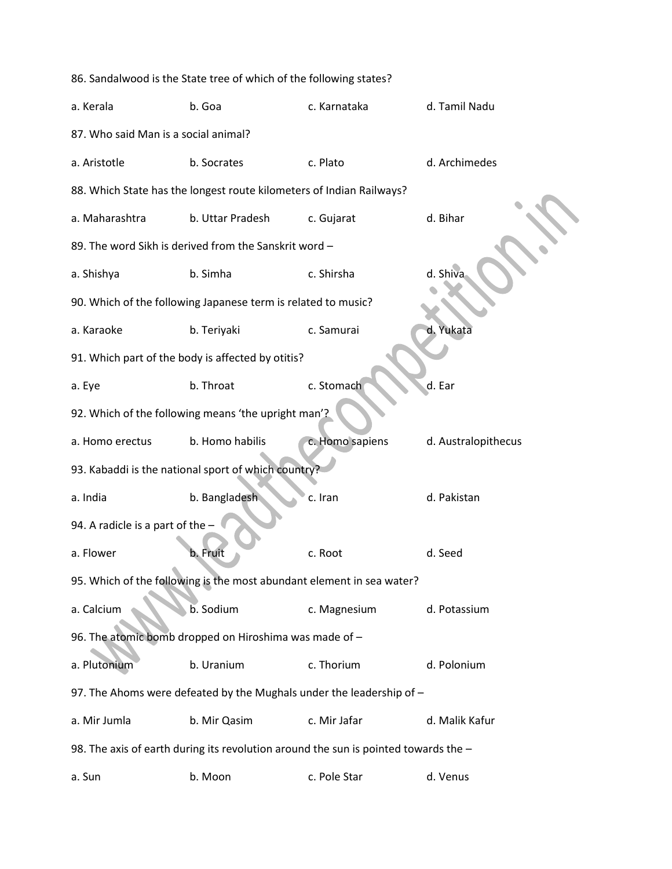| 86. Sandalwood is the State tree of which of the following states? |                                                                                     |                 |                     |  |
|--------------------------------------------------------------------|-------------------------------------------------------------------------------------|-----------------|---------------------|--|
| a. Kerala                                                          | b. Goa                                                                              | c. Karnataka    | d. Tamil Nadu       |  |
| 87. Who said Man is a social animal?                               |                                                                                     |                 |                     |  |
| a. Aristotle                                                       | b. Socrates                                                                         | c. Plato        | d. Archimedes       |  |
|                                                                    | 88. Which State has the longest route kilometers of Indian Railways?                |                 |                     |  |
| a. Maharashtra                                                     | b. Uttar Pradesh                                                                    | c. Gujarat      | d. Bihar            |  |
|                                                                    | 89. The word Sikh is derived from the Sanskrit word -                               |                 |                     |  |
| a. Shishya                                                         | b. Simha                                                                            | c. Shirsha      | d. Shiva            |  |
|                                                                    | 90. Which of the following Japanese term is related to music?                       |                 |                     |  |
| a. Karaoke                                                         | b. Teriyaki                                                                         | c. Samurai      | d. Yukata           |  |
|                                                                    | 91. Which part of the body is affected by otitis?                                   |                 |                     |  |
| a. Eye                                                             | b. Throat                                                                           | c. Stomach      | d. Ear              |  |
|                                                                    | 92. Which of the following means 'the upright man'?                                 |                 |                     |  |
| a. Homo erectus                                                    | b. Homo habilis                                                                     | c. Homo sapiens | d. Australopithecus |  |
|                                                                    | 93. Kabaddi is the national sport of which country?                                 |                 |                     |  |
| a. India                                                           | b. Bangladesh                                                                       | c. Iran         | d. Pakistan         |  |
| 94. A radicle is a part of the -                                   |                                                                                     |                 |                     |  |
| a. Flower                                                          | b. Fruit                                                                            | c. Root         | d. Seed             |  |
|                                                                    | 95. Which of the following is the most abundant element in sea water?               |                 |                     |  |
| a. Calcium                                                         | b. Sodium                                                                           | c. Magnesium    | d. Potassium        |  |
|                                                                    | 96. The atomic bomb dropped on Hiroshima was made of -                              |                 |                     |  |
| a. Plutonium                                                       | b. Uranium                                                                          | c. Thorium      | d. Polonium         |  |
|                                                                    | 97. The Ahoms were defeated by the Mughals under the leadership of -                |                 |                     |  |
| a. Mir Jumla                                                       | b. Mir Qasim                                                                        | c. Mir Jafar    | d. Malik Kafur      |  |
|                                                                    | 98. The axis of earth during its revolution around the sun is pointed towards the - |                 |                     |  |
| a. Sun                                                             | b. Moon                                                                             | c. Pole Star    | d. Venus            |  |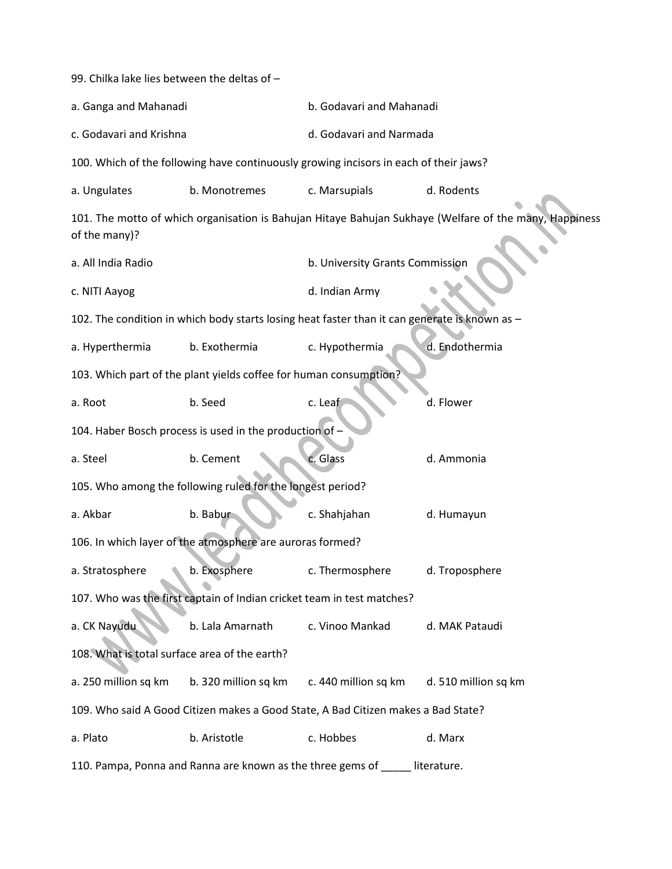| 99. Chilka lake lies between the deltas of -                                      |                                                                        |                                                                                               |                                                                                                        |  |
|-----------------------------------------------------------------------------------|------------------------------------------------------------------------|-----------------------------------------------------------------------------------------------|--------------------------------------------------------------------------------------------------------|--|
| a. Ganga and Mahanadi                                                             |                                                                        | b. Godavari and Mahanadi                                                                      |                                                                                                        |  |
| c. Godavari and Krishna                                                           |                                                                        | d. Godavari and Narmada                                                                       |                                                                                                        |  |
|                                                                                   |                                                                        | 100. Which of the following have continuously growing incisors in each of their jaws?         |                                                                                                        |  |
| a. Ungulates                                                                      | b. Monotremes                                                          | c. Marsupials                                                                                 | d. Rodents                                                                                             |  |
| of the many)?                                                                     |                                                                        |                                                                                               | 101. The motto of which organisation is Bahujan Hitaye Bahujan Sukhaye (Welfare of the many, Happiness |  |
| a. All India Radio                                                                |                                                                        | b. University Grants Commission                                                               |                                                                                                        |  |
| c. NITI Aayog                                                                     |                                                                        | d. Indian Army                                                                                |                                                                                                        |  |
|                                                                                   |                                                                        | 102. The condition in which body starts losing heat faster than it can generate is known as - |                                                                                                        |  |
| a. Hyperthermia                                                                   | b. Exothermia                                                          | c. Hypothermia                                                                                | d. Endothermia                                                                                         |  |
|                                                                                   | 103. Which part of the plant yields coffee for human consumption?      |                                                                                               |                                                                                                        |  |
| a. Root                                                                           | b. Seed                                                                | c. Leaf                                                                                       | d. Flower                                                                                              |  |
|                                                                                   | 104. Haber Bosch process is used in the production of -                |                                                                                               |                                                                                                        |  |
| a. Steel                                                                          | b. Cement                                                              | c. Glass                                                                                      | d. Ammonia                                                                                             |  |
|                                                                                   | 105. Who among the following ruled for the longest period?             |                                                                                               |                                                                                                        |  |
| a. Akbar                                                                          | b. Babur                                                               | c. Shahjahan                                                                                  | d. Humayun                                                                                             |  |
|                                                                                   | 106. In which layer of the atmosphere are auroras formed?              |                                                                                               |                                                                                                        |  |
| a. Stratosphere                                                                   | b. Exosphere                                                           | c. Thermosphere                                                                               | d. Troposphere                                                                                         |  |
|                                                                                   | 107. Who was the first captain of Indian cricket team in test matches? |                                                                                               |                                                                                                        |  |
| a. CK Nayudu                                                                      | b. Lala Amarnath                                                       | c. Vinoo Mankad                                                                               | d. MAK Pataudi                                                                                         |  |
| 108. What is total surface area of the earth?                                     |                                                                        |                                                                                               |                                                                                                        |  |
| a. 250 million sq km                                                              | b. 320 million sq km                                                   | c. 440 million sq km                                                                          | d. 510 million sq km                                                                                   |  |
| 109. Who said A Good Citizen makes a Good State, A Bad Citizen makes a Bad State? |                                                                        |                                                                                               |                                                                                                        |  |
| a. Plato                                                                          | b. Aristotle                                                           | c. Hobbes                                                                                     | d. Marx                                                                                                |  |
| 110. Pampa, Ponna and Ranna are known as the three gems of<br>literature.         |                                                                        |                                                                                               |                                                                                                        |  |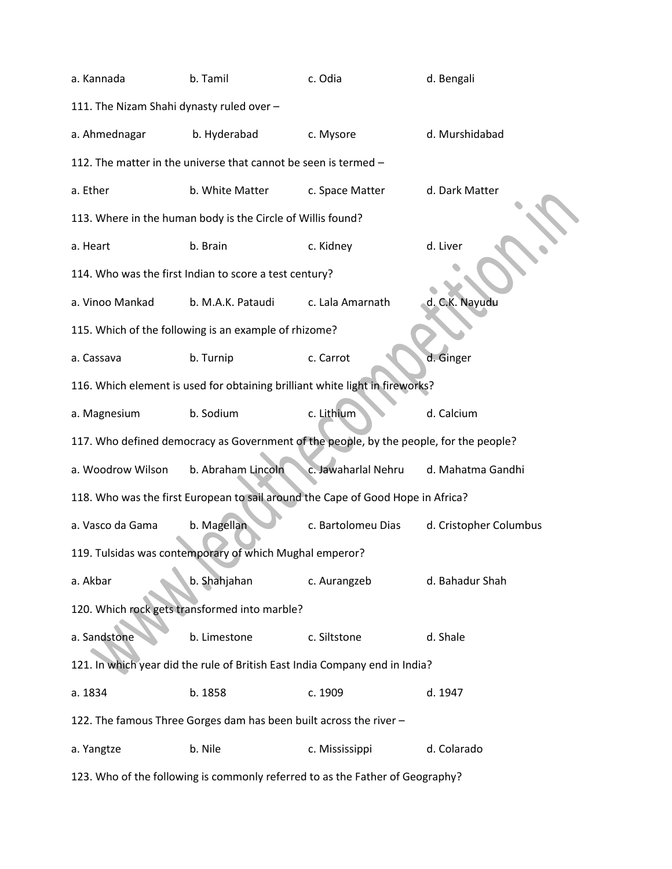| a. Kannada                                                                    | b. Tamil                                                           | c. Odia                                                                                | d. Bengali             |  |  |  |
|-------------------------------------------------------------------------------|--------------------------------------------------------------------|----------------------------------------------------------------------------------------|------------------------|--|--|--|
| 111. The Nizam Shahi dynasty ruled over -                                     |                                                                    |                                                                                        |                        |  |  |  |
| a. Ahmednagar                                                                 | b. Hyderabad                                                       | c. Mysore                                                                              | d. Murshidabad         |  |  |  |
|                                                                               | 112. The matter in the universe that cannot be seen is termed -    |                                                                                        |                        |  |  |  |
| a. Ether                                                                      | b. White Matter                                                    | c. Space Matter                                                                        | d. Dark Matter         |  |  |  |
|                                                                               | 113. Where in the human body is the Circle of Willis found?        |                                                                                        |                        |  |  |  |
| a. Heart                                                                      | b. Brain                                                           | c. Kidney                                                                              | d. Liver               |  |  |  |
|                                                                               | 114. Who was the first Indian to score a test century?             |                                                                                        |                        |  |  |  |
| a. Vinoo Mankad                                                               | b. M.A.K. Pataudi                                                  | c. Lala Amarnath                                                                       | d. C.K. Nayudu         |  |  |  |
|                                                                               | 115. Which of the following is an example of rhizome?              |                                                                                        |                        |  |  |  |
| a. Cassava                                                                    | b. Turnip                                                          | c. Carrot                                                                              | d. Ginger              |  |  |  |
|                                                                               |                                                                    | 116. Which element is used for obtaining brilliant white light in fireworks?           |                        |  |  |  |
| a. Magnesium                                                                  | b. Sodium                                                          | c. Lithium                                                                             | d. Calcium             |  |  |  |
|                                                                               |                                                                    | 117. Who defined democracy as Government of the people, by the people, for the people? |                        |  |  |  |
| a. Woodrow Wilson                                                             | b. Abraham Lincoln                                                 | c. Jawaharlal Nehru                                                                    | d. Mahatma Gandhi      |  |  |  |
|                                                                               |                                                                    | 118. Who was the first European to sail around the Cape of Good Hope in Africa?        |                        |  |  |  |
| a. Vasco da Gama                                                              | b. Magellan                                                        | c. Bartolomeu Dias                                                                     | d. Cristopher Columbus |  |  |  |
|                                                                               | 119. Tulsidas was contemporary of which Mughal emperor?            |                                                                                        |                        |  |  |  |
| a. Akbar                                                                      | b. Shahjahan                                                       | c. Aurangzeb                                                                           | d. Bahadur Shah        |  |  |  |
| 120. Which rock gets transformed into marble?                                 |                                                                    |                                                                                        |                        |  |  |  |
| a. Sandstone                                                                  | b. Limestone                                                       | c. Siltstone                                                                           | d. Shale               |  |  |  |
| 121. In which year did the rule of British East India Company end in India?   |                                                                    |                                                                                        |                        |  |  |  |
| a. 1834                                                                       | b. 1858                                                            | c. 1909                                                                                | d. 1947                |  |  |  |
|                                                                               | 122. The famous Three Gorges dam has been built across the river - |                                                                                        |                        |  |  |  |
| a. Yangtze                                                                    | b. Nile                                                            | c. Mississippi                                                                         | d. Colarado            |  |  |  |
| 123. Who of the following is commonly referred to as the Father of Geography? |                                                                    |                                                                                        |                        |  |  |  |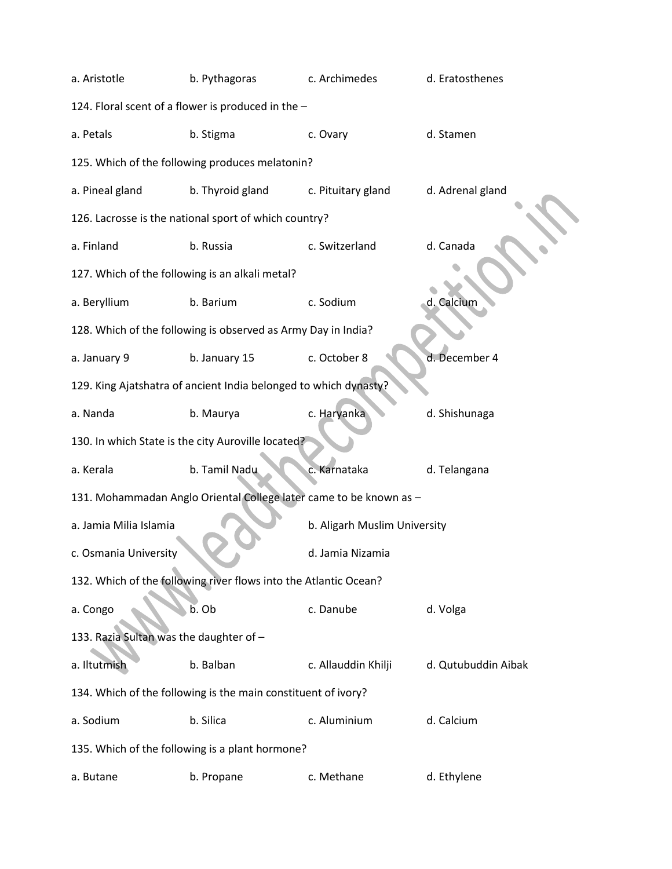| a. Aristotle                                                  | b. Pythagoras                                                    | c. Archimedes                                                      | d. Eratosthenes     |  |  |  |  |
|---------------------------------------------------------------|------------------------------------------------------------------|--------------------------------------------------------------------|---------------------|--|--|--|--|
|                                                               | 124. Floral scent of a flower is produced in the -               |                                                                    |                     |  |  |  |  |
| a. Petals                                                     | b. Stigma                                                        | c. Ovary                                                           | d. Stamen           |  |  |  |  |
|                                                               | 125. Which of the following produces melatonin?                  |                                                                    |                     |  |  |  |  |
| a. Pineal gland                                               | b. Thyroid gland                                                 | c. Pituitary gland                                                 | d. Adrenal gland    |  |  |  |  |
|                                                               | 126. Lacrosse is the national sport of which country?            |                                                                    |                     |  |  |  |  |
| a. Finland                                                    | b. Russia                                                        | c. Switzerland                                                     | d. Canada           |  |  |  |  |
| 127. Which of the following is an alkali metal?               |                                                                  |                                                                    |                     |  |  |  |  |
| a. Beryllium                                                  | b. Barium                                                        | c. Sodium                                                          | d. Calcium          |  |  |  |  |
|                                                               | 128. Which of the following is observed as Army Day in India?    |                                                                    |                     |  |  |  |  |
| a. January 9                                                  | b. January 15                                                    | c. October 8                                                       | d. December 4       |  |  |  |  |
|                                                               | 129. King Ajatshatra of ancient India belonged to which dynasty? |                                                                    |                     |  |  |  |  |
| a. Nanda                                                      | b. Maurya                                                        | c. Haryanka                                                        | d. Shishunaga       |  |  |  |  |
|                                                               | 130. In which State is the city Auroville located?               |                                                                    |                     |  |  |  |  |
| a. Kerala                                                     | b. Tamil Nadu                                                    | c. Karnataka                                                       | d. Telangana        |  |  |  |  |
|                                                               |                                                                  | 131. Mohammadan Anglo Oriental College later came to be known as - |                     |  |  |  |  |
| a. Jamia Milia Islamia                                        |                                                                  | b. Aligarh Muslim University                                       |                     |  |  |  |  |
| c. Osmania University                                         |                                                                  | d. Jamia Nizamia                                                   |                     |  |  |  |  |
|                                                               | 132. Which of the following river flows into the Atlantic Ocean? |                                                                    |                     |  |  |  |  |
| a. Congo                                                      | b. Ob                                                            | c. Danube                                                          | d. Volga            |  |  |  |  |
| 133. Razia Sultan was the daughter of -                       |                                                                  |                                                                    |                     |  |  |  |  |
| a. Iltutmish                                                  | b. Balban                                                        | c. Allauddin Khilji                                                | d. Qutubuddin Aibak |  |  |  |  |
| 134. Which of the following is the main constituent of ivory? |                                                                  |                                                                    |                     |  |  |  |  |
| a. Sodium                                                     | b. Silica                                                        | c. Aluminium                                                       | d. Calcium          |  |  |  |  |
| 135. Which of the following is a plant hormone?               |                                                                  |                                                                    |                     |  |  |  |  |
| a. Butane                                                     | b. Propane                                                       | c. Methane                                                         | d. Ethylene         |  |  |  |  |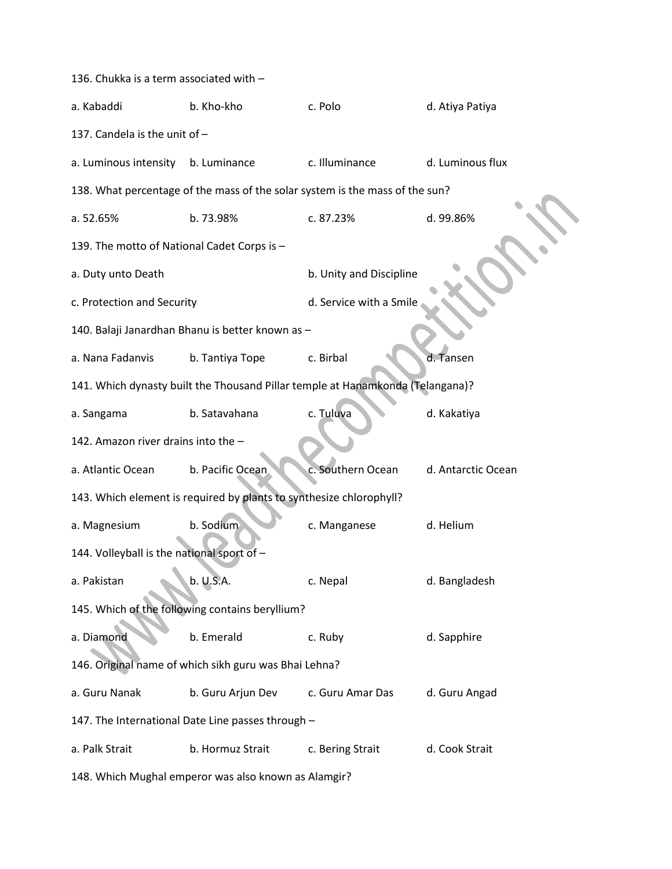| 136. Chukka is a term associated with -               |                                                                                |                         |                    |  |  |
|-------------------------------------------------------|--------------------------------------------------------------------------------|-------------------------|--------------------|--|--|
| a. Kabaddi                                            | b. Kho-kho                                                                     | c. Polo                 | d. Atiya Patiya    |  |  |
| 137. Candela is the unit of -                         |                                                                                |                         |                    |  |  |
| a. Luminous intensity                                 | b. Luminance                                                                   | c. Illuminance          | d. Luminous flux   |  |  |
|                                                       | 138. What percentage of the mass of the solar system is the mass of the sun?   |                         |                    |  |  |
| a. 52.65%                                             | b. 73.98%                                                                      | c. 87.23%               | d. 99.86%          |  |  |
| 139. The motto of National Cadet Corps is -           |                                                                                |                         |                    |  |  |
| a. Duty unto Death                                    |                                                                                | b. Unity and Discipline |                    |  |  |
| c. Protection and Security                            |                                                                                | d. Service with a Smile |                    |  |  |
|                                                       | 140. Balaji Janardhan Bhanu is better known as -                               |                         |                    |  |  |
| a. Nana Fadanvis                                      | b. Tantiya Tope                                                                | c. Birbal               | d. Tansen          |  |  |
|                                                       | 141. Which dynasty built the Thousand Pillar temple at Hanamkonda (Telangana)? |                         |                    |  |  |
| a. Sangama                                            | b. Satavahana                                                                  | c. Tuluva               | d. Kakatiya        |  |  |
| 142. Amazon river drains into the -                   |                                                                                |                         |                    |  |  |
| a. Atlantic Ocean                                     | b. Pacific Ocean                                                               | c. Southern Ocean       | d. Antarctic Ocean |  |  |
|                                                       | 143. Which element is required by plants to synthesize chlorophyll?            |                         |                    |  |  |
| a. Magnesium                                          | b. Sodium                                                                      | c. Manganese            | d. Helium          |  |  |
| 144. Volleyball is the national sport of -            |                                                                                |                         |                    |  |  |
| a. Pakistan                                           | b. U.S.A.                                                                      | c. Nepal                | d. Bangladesh      |  |  |
| 145. Which of the following contains beryllium?       |                                                                                |                         |                    |  |  |
| a. Diamond                                            | b. Emerald                                                                     | c. Ruby                 | d. Sapphire        |  |  |
| 146. Original name of which sikh guru was Bhai Lehna? |                                                                                |                         |                    |  |  |
| a. Guru Nanak                                         | b. Guru Arjun Dev                                                              | c. Guru Amar Das        | d. Guru Angad      |  |  |
| 147. The International Date Line passes through -     |                                                                                |                         |                    |  |  |
| a. Palk Strait                                        | b. Hormuz Strait                                                               | c. Bering Strait        | d. Cook Strait     |  |  |
|                                                       | 148. Which Mughal emperor was also known as Alamgir?                           |                         |                    |  |  |